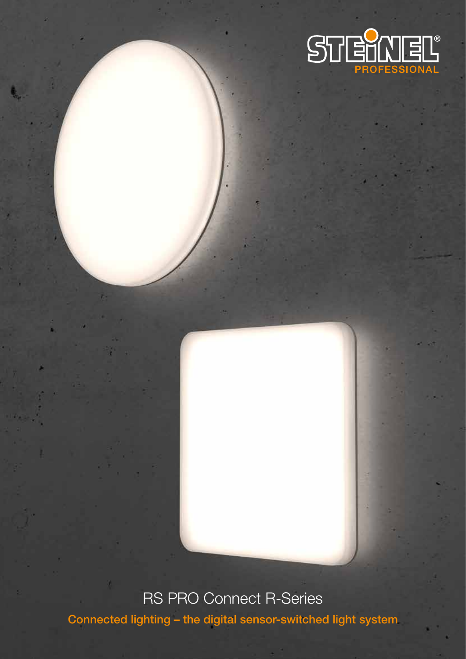

# RS PRO Connect R-Series

Connected lighting – the digital sensor-switched light system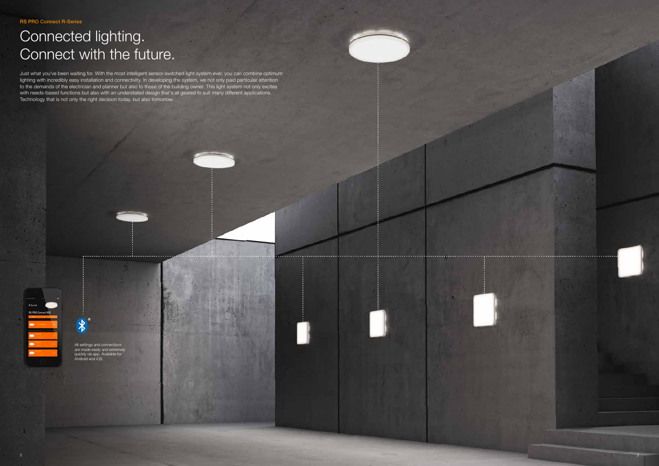

All settings and connections are made easily and extremely quickly via app. Available for Android and iOS.

 $\frac{1}{\sqrt{2}}$ 

RS PRO Connect R-Series

# Connected lighting. Connect with the future.

Just what you've been waiting for. With the most intelligent sensor-switched light system ever, you can combine optimum lighting with incredibly easy installation and connectivity. In developing the system, we not only paid particular attention to the demands of the electrician and planner but also to those of the building owner. This light system not only excites with needs-based functions but also with an understated design that's all geared to suit many different applications. Technology that is not only the right decision today, but also tomorrow.

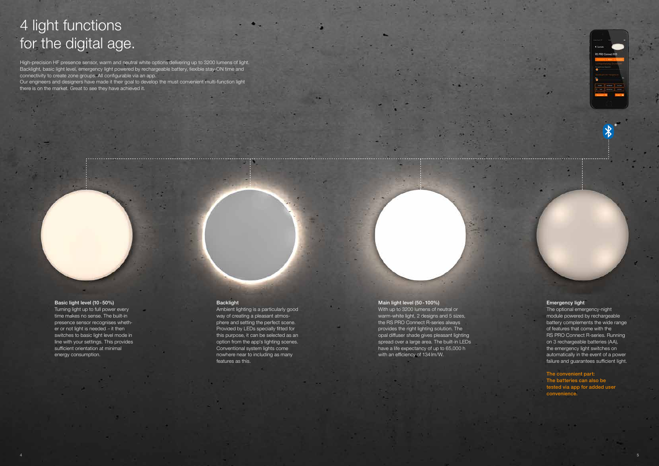# 4 light functions for the digital age.

High-precision HF presence sensor, warm and neutral white options delivering up to 3200 lumens of light. Backlight, basic light level, emergency light powered by rechargeable battery, flexible stay-ON time and connectivity to create zone groups. All configurable via an app. Our engineers and designers have made it their goal to develop the must convenient multi-function light there is on the market. Great to see they have achieved it.

### Basic light level (10-50%)

Turning light up to full power every time makes no sense. The built-in presence sensor recognises whether or not light is needed – it then switches to basic light level mode in line with your settings. This provides sufficient orientation at minimal energy consumption.

#### Backlight

Ambient lighting is a particularly good way of creating a pleasant atmosphere and setting the perfect scene. Provided by LEDs specially fitted for this purpose, it can be selected as an option from the app's lighting scenes. Conventional system lights come nowhere near to including as many features as this.

#### Main light level (50-100%)

With up to 3200 lumens of neutral or warm-white light, 2 designs and 5 sizes, the RS PRO Connect R-series always provides the right lighting solution. The opal diffuser shade gives pleasant lighting spread over a large area. The built-in LEDs have a life expectancy of up to 65,000 h with an efficiency of 134lm/W.

| RS PRO Connect |       |  |
|----------------|-------|--|
|                | _____ |  |
|                |       |  |
|                |       |  |
|                |       |  |
|                |       |  |
|                |       |  |
| _              |       |  |
|                |       |  |

#### Emergency light

The optional emergency-night module powered by rechargeable battery complements the wide range of features that come with the RS PRO Connect R-series. Running on 3 rechargeable batteries (AA), the emergency light switches on automatically in the event of a power failure and guarantees sufficient light.

The convenient part: The batteries can also be tested via app for added user convenience.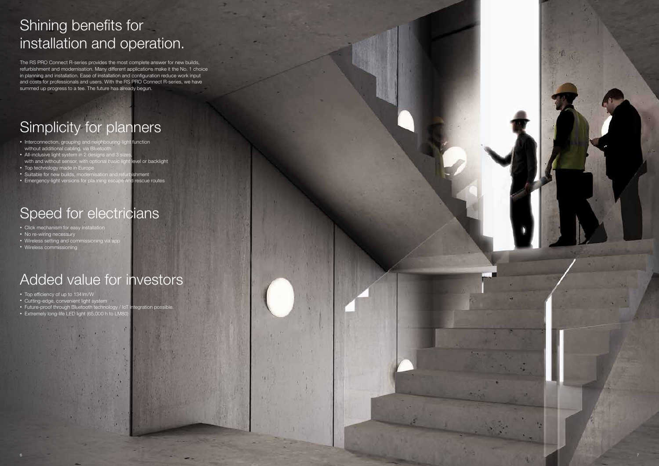6



# Shining benefits for installation and operation.

The RS PRO Connect R-series provides the most complete answer for new builds, refurbishment and modernisation. Many different applications make it the No. 1 choice in planning and installation. Ease of installation and configuration reduce work input and costs for professionals and users. With the RS PRO Connect R-series, we have summed up progress to a tee. The future has already begun.

# Simplicity for planners

- Click mechanism for easy install
- No re-wiring necessary
- Wireless setting and commissioning via app
- Wireless commissioning

- Cutting-edge, convenient light system
- Future-proof through Bluetooth technology / IoT integration possible.
- Extremely long-life LED light (65,000 h to LM80
- Interconnection, grouping and neighbouring-light function without additional cabling, via Bluetooth
- All-inclusive light system in 2 designs and 3 sizes, with and without sensor, with optional basic light level or backlight
- Top technology made in Europe
- Suitable for new builds, modernisation and refurbishment • Emergency-light versions for planning escape and rescue routes

# Speed for electricians

# Added value for investors

• Top efficiency of up to 134lm/W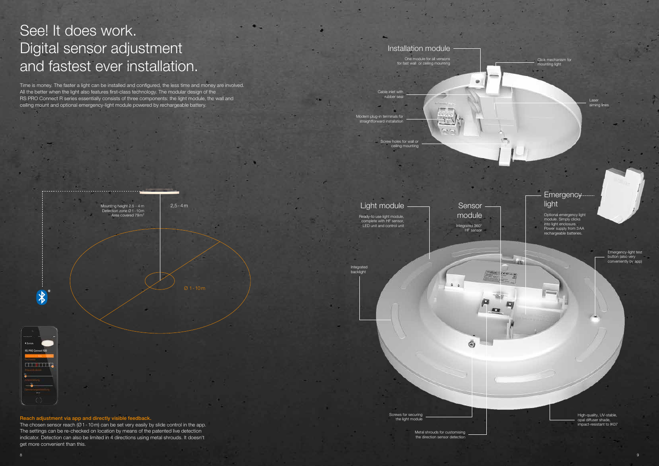

Reach adjustment via app and directly visible feedback.

The chosen sensor reach  $(Ø1-10m)$  can be set very easily by slide control in the app. The settings can be re-checked on location by means of the patented live detection indicator. Detection can also be limited in 4 directions using metal shrouds. It doesn't get more convenient than this.

# See! It does work. Digital sensor adjustment and fastest ever installation.

Time is money. The faster a light can be installed and configured, the less time and money are involved. All the better when the light also features first-class technology. The modular design of the RS PRO Connect R series essentially consists of three components: the light module, the wall and ceiling mount and optional emergency-light module powered by rechargeable battery.

> **Sensor** module

Laser aiming line

## Installation module

One module for all versions for fast wall or ceiling mounting

Cable inlet with rubber seal

Modern plug-in terminals for straightforward install



ceiling mounting

## Emergency light

Optional emergency light module. Simply clicks into light enclosure. Power supply from 3AA rechargeable batteries.

Integrated backlight

Emergency-light test button (also very conveniently by app)

Integrated 360° HF sensor

٤

**STATISTICS** 

Screws for securing the light module

Click mechanism for mounting light

> High-quality, UV-stable, opal diffuser shade, impact-resistant to IK07

Light module Ready-to use light module, complete with HF sensor, LED unit and control unit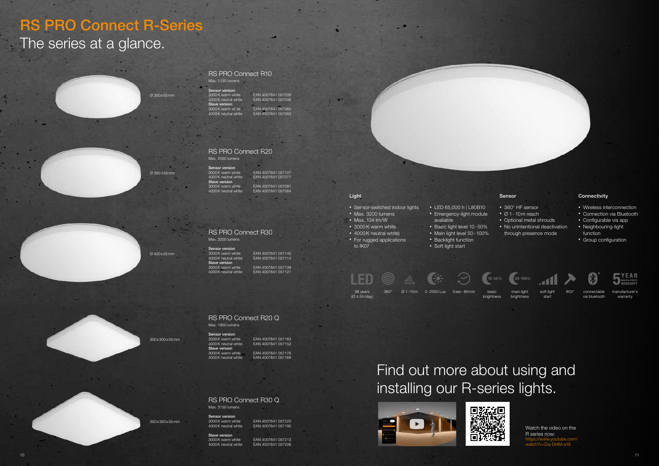Ø 300x55mm

Ø 350 x55mm

Ø 420x55mm

300x300x55mm

350x350x55mm

soft light start

main light







warranty

brightness

- Sensor-switched indoor lights
- Max. 3200 lumens
- Max. 134 lm/W
- 3000K warm white
- 4000K neutral white) • For rugged applications to IK07
- LED 65,000 h | L80B10
- Emergency-light module available
- Basic light level 10-50%
- Main light level 50-100%
- Backlight function
- Soft light start
- LED  $(10 - 50\%$ 36 years 360° Ø1-10m 2-2000 Lux 5sec-60 min basic main light soft light IK07 connectable manufacturer's 2-2000 Lux basic (Ø 4.5h/day) brightness





#### Light

- Wireless interconnection
- Connection via Bluetooth
- Configurable via app
- Neighbouring-light function
- Group configuration



#### Sensor

- 360° HF sensor
- Ø 1-10m reach
- Optional metal shrouds
- No unintentional deactivation through presence mode

#### **Connectivity**

Sensor version<br>3000K warm white Slave version

EAN 4007841 057039 4000K neutral white EAN 4007841 057046 3000K warm white EAN 4007841 057060 4000K neutral white EAN 4007841 057053

Sensor version<br>3000K warm white Slave version 3000K warm white EAN 4007841 057091

3000K warm white EAN 4007841 057107<br>4000K neutral white EAN 4007841 057077 EAN 4007841 057077 EAN 4007841 057084

Sensor version **Slave version**<br>3000K warm white

3000K warm white **EAN 4007841 057145**<br>4000K neutral white EAN 4007841 057114 EAN 4007841 057114

3000K warm white EAN 4007841 057138 EAN 4007841 057121

# RS PRO Connect R-Series

# The series at a glance.



Max. 1130 lumens

EAN 4007841 057152 3000K warm white EAN 4007841 057176

**Sensor version**<br>3000K warm white 3000 K warm white EAN 4007841 057183 Slave version 4000K neutral white EAN 4007841 057169

3000K warm white EAN 4007841 057220 EAN 4007841 057190

### RS PRO Connect R20

Max. 2000 lumens

### RS PRO Connect R30

## Max. 3200 lumens

# Find out more about using and installing our R-series lights.





Watch the video on the R series now: https://www.youtube.com/ watch?v=Dq-Dl4M-a18

## RS PRO Connect R20 Q

Max 1950 lumens

#### RS PRO Connect R30 Q Max. 3150 lumens

**Sensor version**<br>3000K warm white

Slave version

3000K warm white EAN 4007841 057213

EAN 4007841 057206